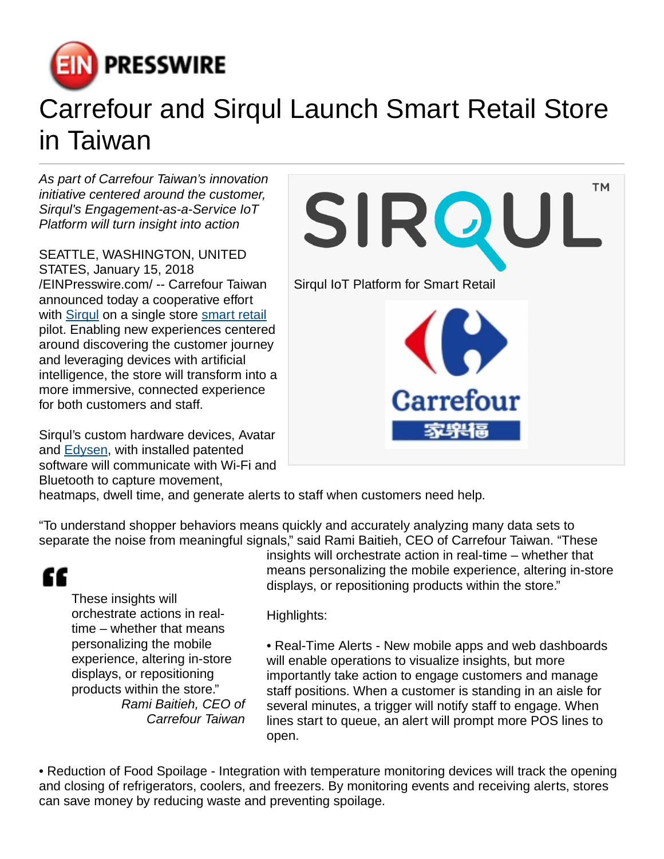

## Carrefour and Sirqul Launch Smart Retail Store in Taiwan

As part of Carrefour Taiwan's innovation initiative centered around the customer, Sirqul's Engagement-as-a-Service IoT Platform will turn insight into action

SEATTLE, WASHINGTON, UNITED STATES, January 15, 2018 [/EINPresswire.com](http://www.einpresswire.com)/ -- Carrefour Taiwan announced today a cooperative effort with [Sirqul](https://corp.sirqul.com/) on a single store [smart retail](https://corp.sirqul.com/iot-solutions/retail/) pilot. Enabling new experiences centered around discovering the customer journey and leveraging devices with artificial intelligence, the store will transform into a more immersive, connected experience for both customers and staff.

Sirqul's custom hardware devices, Avatar and [Edysen](https://corp.sirqul.com/iot-solutions/smart_mesh/), with installed patented software will communicate with Wi-Fi and Bluetooth to capture movement,



heatmaps, dwell time, and generate alerts to staff when customers need help.

"To understand shopper behaviors means quickly and accurately analyzing many data sets to separate the noise from meaningful signals," said Rami Baitieh, CEO of Carrefour Taiwan. "These

## ££

These insights will orchestrate actions in realtime – whether that means personalizing the mobile experience, altering in-store displays, or repositioning products within the store." Rami Baitieh, CEO of Carrefour Taiwan insights will orchestrate action in real-time – whether that means personalizing the mobile experience, altering in-store displays, or repositioning products within the store."

Highlights:

• Real-Time Alerts - New mobile apps and web dashboards will enable operations to visualize insights, but more importantly take action to engage customers and manage staff positions. When a customer is standing in an aisle for several minutes, a trigger will notify staff to engage. When lines start to queue, an alert will prompt more POS lines to open.

• Reduction of Food Spoilage - Integration with temperature monitoring devices will track the opening and closing of refrigerators, coolers, and freezers. By monitoring events and receiving alerts, stores can save money by reducing waste and preventing spoilage.